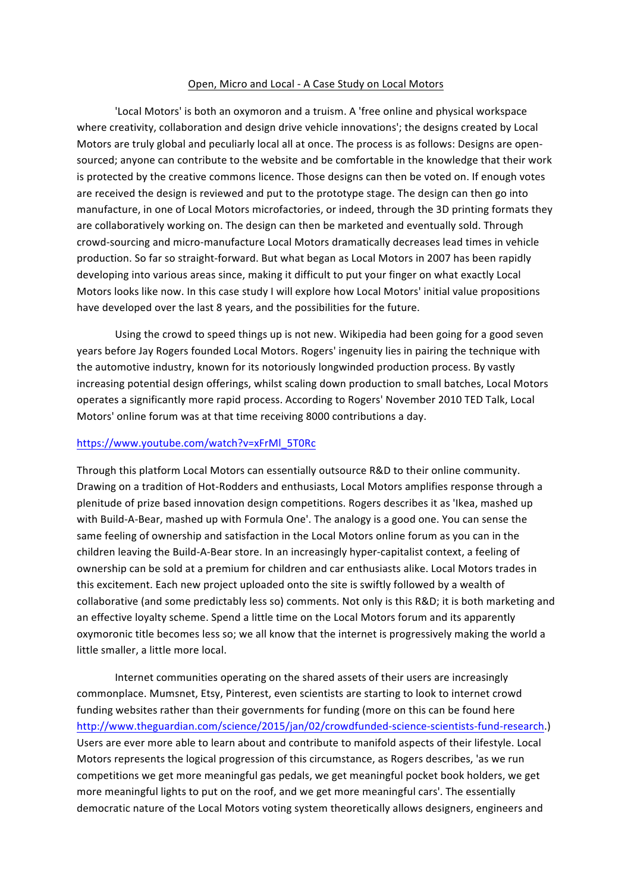## Open, Micro and Local - A Case Study on Local Motors

'Local Motors' is both an oxymoron and a truism. A 'free online and physical workspace where creativity, collaboration and design drive vehicle innovations'; the designs created by Local Motors are truly global and peculiarly local all at once. The process is as follows: Designs are opensourced; anyone can contribute to the website and be comfortable in the knowledge that their work is protected by the creative commons licence. Those designs can then be voted on. If enough votes are received the design is reviewed and put to the prototype stage. The design can then go into manufacture, in one of Local Motors microfactories, or indeed, through the 3D printing formats they are collaboratively working on. The design can then be marketed and eventually sold. Through crowd-sourcing and micro-manufacture Local Motors dramatically decreases lead times in vehicle production. So far so straight-forward. But what began as Local Motors in 2007 has been rapidly developing into various areas since, making it difficult to put your finger on what exactly Local Motors looks like now. In this case study I will explore how Local Motors' initial value propositions have developed over the last 8 years, and the possibilities for the future.

Using the crowd to speed things up is not new. Wikipedia had been going for a good seven years before Jay Rogers founded Local Motors. Rogers' ingenuity lies in pairing the technique with the automotive industry, known for its notoriously longwinded production process. By vastly increasing potential design offerings, whilst scaling down production to small batches, Local Motors operates a significantly more rapid process. According to Rogers' November 2010 TED Talk, Local Motors' online forum was at that time receiving 8000 contributions a day.

## https://www.youtube.com/watch?v=xFrMl\_5T0Rc

Through this platform Local Motors can essentially outsource R&D to their online community. Drawing on a tradition of Hot-Rodders and enthusiasts, Local Motors amplifies response through a plenitude of prize based innovation design competitions. Rogers describes it as 'Ikea, mashed up with Build-A-Bear, mashed up with Formula One'. The analogy is a good one. You can sense the same feeling of ownership and satisfaction in the Local Motors online forum as you can in the children leaving the Build-A-Bear store. In an increasingly hyper-capitalist context, a feeling of ownership can be sold at a premium for children and car enthusiasts alike. Local Motors trades in this excitement. Each new project uploaded onto the site is swiftly followed by a wealth of collaborative (and some predictably less so) comments. Not only is this R&D; it is both marketing and an effective loyalty scheme. Spend a little time on the Local Motors forum and its apparently oxymoronic title becomes less so; we all know that the internet is progressively making the world a little smaller, a little more local.

Internet communities operating on the shared assets of their users are increasingly commonplace. Mumsnet, Etsy, Pinterest, even scientists are starting to look to internet crowd funding websites rather than their governments for funding (more on this can be found here http://www.theguardian.com/science/2015/jan/02/crowdfunded-science-scientists-fund-research.) Users are ever more able to learn about and contribute to manifold aspects of their lifestyle. Local Motors represents the logical progression of this circumstance, as Rogers describes, 'as we run competitions we get more meaningful gas pedals, we get meaningful pocket book holders, we get more meaningful lights to put on the roof, and we get more meaningful cars'. The essentially democratic nature of the Local Motors voting system theoretically allows designers, engineers and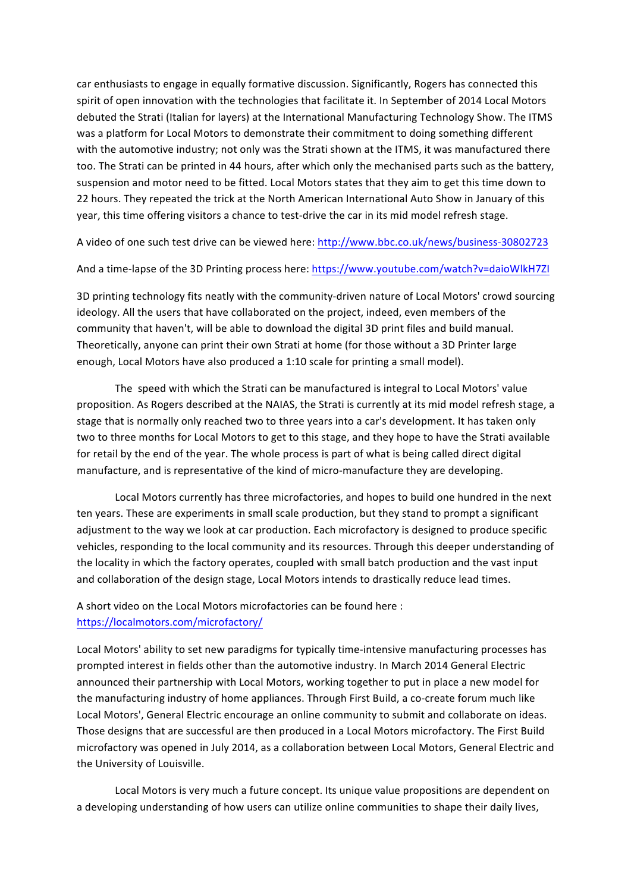car enthusiasts to engage in equally formative discussion. Significantly, Rogers has connected this spirit of open innovation with the technologies that facilitate it. In September of 2014 Local Motors debuted the Strati (Italian for layers) at the International Manufacturing Technology Show. The ITMS was a platform for Local Motors to demonstrate their commitment to doing something different with the automotive industry; not only was the Strati shown at the ITMS, it was manufactured there too. The Strati can be printed in 44 hours, after which only the mechanised parts such as the battery, suspension and motor need to be fitted. Local Motors states that they aim to get this time down to 22 hours. They repeated the trick at the North American International Auto Show in January of this year, this time offering visitors a chance to test-drive the car in its mid model refresh stage.

A video of one such test drive can be viewed here: http://www.bbc.co.uk/news/business-30802723

And a time-lapse of the 3D Printing process here: https://www.youtube.com/watch?v=daioWlkH7ZI

3D printing technology fits neatly with the community-driven nature of Local Motors' crowd sourcing ideology. All the users that have collaborated on the project, indeed, even members of the community that haven't, will be able to download the digital 3D print files and build manual. Theoretically, anyone can print their own Strati at home (for those without a 3D Printer large enough, Local Motors have also produced a 1:10 scale for printing a small model).

The speed with which the Strati can be manufactured is integral to Local Motors' value proposition. As Rogers described at the NAIAS, the Strati is currently at its mid model refresh stage, a stage that is normally only reached two to three years into a car's development. It has taken only two to three months for Local Motors to get to this stage, and they hope to have the Strati available for retail by the end of the year. The whole process is part of what is being called direct digital manufacture, and is representative of the kind of micro-manufacture they are developing.

Local Motors currently has three microfactories, and hopes to build one hundred in the next ten years. These are experiments in small scale production, but they stand to prompt a significant adjustment to the way we look at car production. Each microfactory is designed to produce specific vehicles, responding to the local community and its resources. Through this deeper understanding of the locality in which the factory operates, coupled with small batch production and the vast input and collaboration of the design stage, Local Motors intends to drastically reduce lead times.

A short video on the Local Motors microfactories can be found here : https://localmotors.com/microfactory/

Local Motors' ability to set new paradigms for typically time-intensive manufacturing processes has prompted interest in fields other than the automotive industry. In March 2014 General Electric announced their partnership with Local Motors, working together to put in place a new model for the manufacturing industry of home appliances. Through First Build, a co-create forum much like Local Motors', General Electric encourage an online community to submit and collaborate on ideas. Those designs that are successful are then produced in a Local Motors microfactory. The First Build microfactory was opened in July 2014, as a collaboration between Local Motors, General Electric and the University of Louisville.

Local Motors is very much a future concept. Its unique value propositions are dependent on a developing understanding of how users can utilize online communities to shape their daily lives,